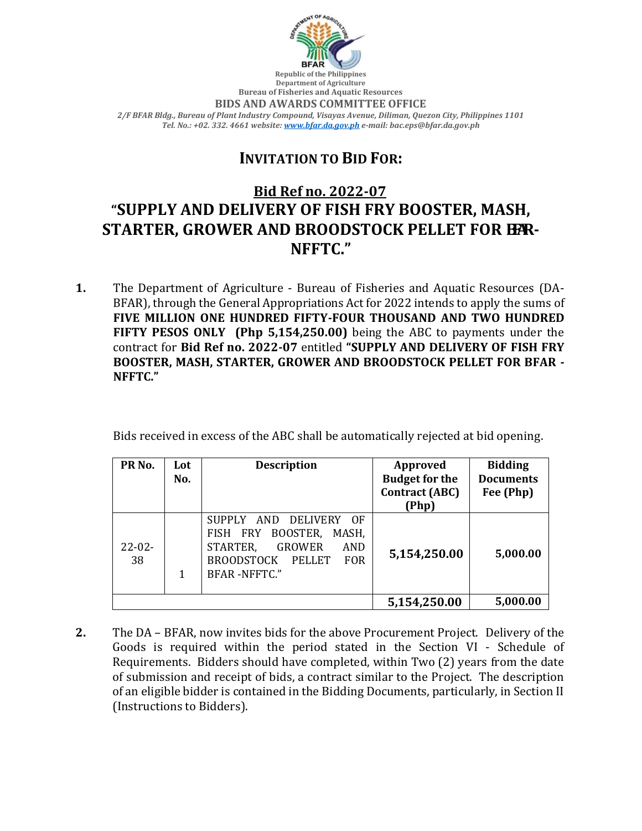

**Republic of the Philippines Department of Agriculture Bureau of Fisheries and Aquatic Resources BIDS AND AWARDS COMMITTEE OFFICE** *2/F BFAR Bldg., Bureau of Plant Industry Compound, Visayas Avenue, Diliman, Quezon City, Philippines 1101 Tel. No.: +02. 332. 4661 website[: www.bfar.da.gov.ph](http://www.bfar.da.gov.ph/) e-mail: bac.eps@bfar.da.gov.ph*

## **INVITATION TO BID FOR:**

## **Bid Ref no. 2022-07 "SUPPLY AND DELIVERY OF FISH FRY BOOSTER, MASH, STARTER, GROWER AND BROODSTOCK PELLET FOR HAR-NFFTC."**

**1.** The Department of Agriculture - Bureau of Fisheries and Aquatic Resources (DA-BFAR), through the General Appropriations Act for 2022 intends to apply the sums of **FIVE MILLION ONE HUNDRED FIFTY-FOUR THOUSAND AND TWO HUNDRED FIFTY PESOS ONLY (Php 5,154,250.00)** being the ABC to payments under the contract for **Bid Ref no. 2022-07** entitled **"SUPPLY AND DELIVERY OF FISH FRY BOOSTER, MASH, STARTER, GROWER AND BROODSTOCK PELLET FOR BFAR - NFFTC."**

Bids received in excess of the ABC shall be automatically rejected at bid opening.

| PR <sub>No.</sub> | Lot<br>No. | <b>Description</b>                                                                                                                                                            | <b>Approved</b><br><b>Budget for the</b><br><b>Contract (ABC)</b><br>(Php) | <b>Bidding</b><br><b>Documents</b><br>Fee (Php) |
|-------------------|------------|-------------------------------------------------------------------------------------------------------------------------------------------------------------------------------|----------------------------------------------------------------------------|-------------------------------------------------|
| $22 - 02 -$<br>38 | 1          | SUPPLY AND<br>DELIVERY<br>$\Omega$ F<br>BOOSTER,<br>FISH FRY<br>MASH.<br>STARTER,<br><b>GROWER</b><br>AND<br>PELLET<br><b>BROODSTOCK</b><br><b>FOR</b><br><b>BFAR-NFFTC."</b> | 5,154,250.00                                                               | 5,000.00                                        |
|                   |            |                                                                                                                                                                               | 5,154,250.00                                                               | 5,000.00                                        |

**2.** The DA – BFAR, now invites bids for the above Procurement Project. Delivery of the Goods is required within the period stated in the Section VI - Schedule of Requirements. Bidders should have completed, within Two (2) years from the date of submission and receipt of bids, a contract similar to the Project. The description of an eligible bidder is contained in the Bidding Documents, particularly, in Section II (Instructions to Bidders).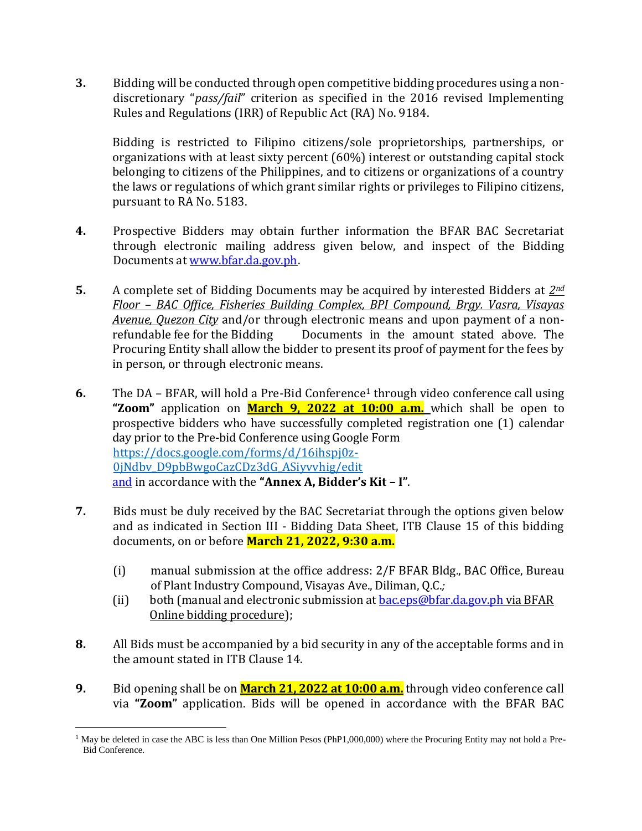**3.** Bidding will be conducted through open competitive bidding procedures using a nondiscretionary "*pass/fail*" criterion as specified in the 2016 revised Implementing Rules and Regulations (IRR) of Republic Act (RA) No. 9184.

Bidding is restricted to Filipino citizens/sole proprietorships, partnerships, or organizations with at least sixty percent (60%) interest or outstanding capital stock belonging to citizens of the Philippines, and to citizens or organizations of a country the laws or regulations of which grant similar rights or privileges to Filipino citizens, pursuant to RA No. 5183.

- **4.** Prospective Bidders may obtain further information the BFAR BAC Secretariat through electronic mailing address given below, and inspect of the Bidding Documents at [www.bfar.da.gov.ph.](http://www.bfar.da.gov.ph/)
- **5.** A complete set of Bidding Documents may be acquired by interested Bidders at *2nd Floor – BAC Office, Fisheries Building Complex, BPI Compound, Brgy. Vasra, Visayas Avenue, Quezon City* and/or through electronic means and upon payment of a nonrefundable fee for the Bidding Documents in the amount stated above. The Procuring Entity shall allow the bidder to present its proof of payment for the fees by in person, or through electronic means.
- **6.** The DA BFAR, will hold a Pre-Bid Conference<sup>1</sup> through video conference call using **"Zoom"** application on **March 9, 2022 at 10:00 a.m.** which shall be open to prospective bidders who have successfully completed registration one (1) calendar day prior to the Pre-bid Conference using Google Form https://docs.google.com/forms/d/16ihspj0z-0jNdbv\_D9pbBwgoCazCDz3dG\_ASiyvvhig/edit and in accordance with the **"Annex A, Bidder's Kit – I"**.
- **7.** Bids must be duly received by the BAC Secretariat through the options given below and as indicated in Section III - Bidding Data Sheet, ITB Clause 15 of this bidding documents, on or before **March 21, 2022, 9:30 a.m.**
	- (i) manual submission at the office address: 2/F BFAR Bldg., BAC Office, Bureau of Plant Industry Compound, Visayas Ave., Diliman, Q.C.*;*
	- (ii) both (manual and electronic submission at  $bac.eps@bfar.da.gov.ph via BFAR$ Online bidding procedure);
- **8.** All Bids must be accompanied by a bid security in any of the acceptable forms and in the amount stated in ITB Clause 14.
- **9.** Bid opening shall be on **March 21, 2022 at 10:00 a.m.** through video conference call via **"Zoom"** application. Bids will be opened in accordance with the BFAR BAC

 $\overline{a}$  $1$  May be deleted in case the ABC is less than One Million Pesos (PhP1,000,000) where the Procuring Entity may not hold a Pre-Bid Conference.